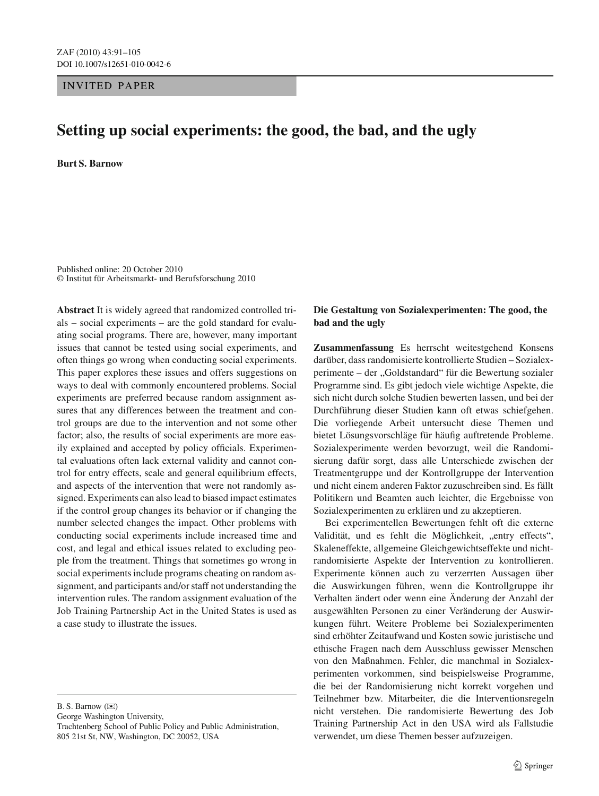INVITED PAPER

# **Setting up social experiments: the good, the bad, and the ugly**

**Burt S. Barnow**

Published online: 20 October 2010 © Institut für Arbeitsmarkt- und Berufsforschung 2010

**Abstract** It is widely agreed that randomized controlled trials – social experiments – are the gold standard for evaluating social programs. There are, however, many important issues that cannot be tested using social experiments, and often things go wrong when conducting social experiments. This paper explores these issues and offers suggestions on ways to deal with commonly encountered problems. Social experiments are preferred because random assignment assures that any differences between the treatment and control groups are due to the intervention and not some other factor; also, the results of social experiments are more easily explained and accepted by policy officials. Experimental evaluations often lack external validity and cannot control for entry effects, scale and general equilibrium effects, and aspects of the intervention that were not randomly assigned. Experiments can also lead to biased impact estimates if the control group changes its behavior or if changing the number selected changes the impact. Other problems with conducting social experiments include increased time and cost, and legal and ethical issues related to excluding people from the treatment. Things that sometimes go wrong in social experiments include programs cheating on random assignment, and participants and/or staff not understanding the intervention rules. The random assignment evaluation of the Job Training Partnership Act in the United States is used as a case study to illustrate the issues.

B. S. Barnow ( $\infty$ )

George Washington University,

## **Die Gestaltung von Sozialexperimenten: The good, the bad and the ugly**

**Zusammenfassung** Es herrscht weitestgehend Konsens darüber, dass randomisierte kontrollierte Studien – Sozialexperimente – der "Goldstandard" für die Bewertung sozialer Programme sind. Es gibt jedoch viele wichtige Aspekte, die sich nicht durch solche Studien bewerten lassen, und bei der Durchführung dieser Studien kann oft etwas schiefgehen. Die vorliegende Arbeit untersucht diese Themen und bietet Lösungsvorschläge für häufig auftretende Probleme. Sozialexperimente werden bevorzugt, weil die Randomisierung dafür sorgt, dass alle Unterschiede zwischen der Treatmentgruppe und der Kontrollgruppe der Intervention und nicht einem anderen Faktor zuzuschreiben sind. Es fällt Politikern und Beamten auch leichter, die Ergebnisse von Sozialexperimenten zu erklären und zu akzeptieren.

Bei experimentellen Bewertungen fehlt oft die externe Validität, und es fehlt die Möglichkeit, "entry effects", Skaleneffekte, allgemeine Gleichgewichtseffekte und nichtrandomisierte Aspekte der Intervention zu kontrollieren. Experimente können auch zu verzerrten Aussagen über die Auswirkungen führen, wenn die Kontrollgruppe ihr Verhalten ändert oder wenn eine Änderung der Anzahl der ausgewählten Personen zu einer Veränderung der Auswirkungen führt. Weitere Probleme bei Sozialexperimenten sind erhöhter Zeitaufwand und Kosten sowie juristische und ethische Fragen nach dem Ausschluss gewisser Menschen von den Maßnahmen. Fehler, die manchmal in Sozialexperimenten vorkommen, sind beispielsweise Programme, die bei der Randomisierung nicht korrekt vorgehen und Teilnehmer bzw. Mitarbeiter, die die Interventionsregeln nicht verstehen. Die randomisierte Bewertung des Job Training Partnership Act in den USA wird als Fallstudie verwendet, um diese Themen besser aufzuzeigen.

Trachtenberg School of Public Policy and Public Administration, 805 21st St, NW, Washington, DC 20052, USA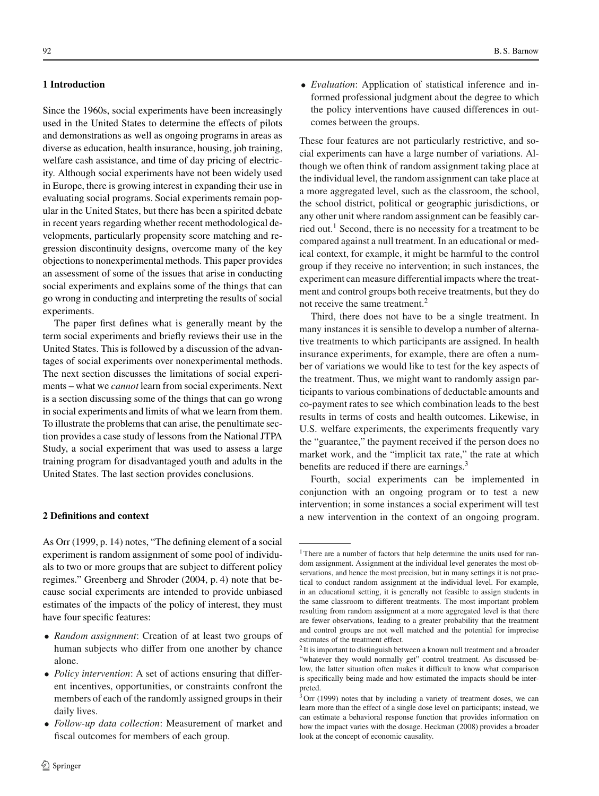## **1 Introduction**

Since the 1960s, social experiments have been increasingly used in the United States to determine the effects of pilots and demonstrations as well as ongoing programs in areas as diverse as education, health insurance, housing, job training, welfare cash assistance, and time of day pricing of electricity. Although social experiments have not been widely used in Europe, there is growing interest in expanding their use in evaluating social programs. Social experiments remain popular in the United States, but there has been a spirited debate in recent years regarding whether recent methodological developments, particularly propensity score matching and regression discontinuity designs, overcome many of the key objections to nonexperimental methods. This paper provides an assessment of some of the issues that arise in conducting social experiments and explains some of the things that can go wrong in conducting and interpreting the results of social experiments.

The paper first defines what is generally meant by the term social experiments and briefly reviews their use in the United States. This is followed by a discussion of the advantages of social experiments over nonexperimental methods. The next section discusses the limitations of social experiments – what we *cannot* learn from social experiments. Next is a section discussing some of the things that can go wrong in social experiments and limits of what we learn from them. To illustrate the problems that can arise, the penultimate section provides a case study of lessons from the National JTPA Study, a social experiment that was used to assess a large training program for disadvantaged youth and adults in the United States. The last section provides conclusions.

## **2 Definitions and context**

As Orr (1999, p. 14) notes, "The defining element of a social experiment is random assignment of some pool of individuals to two or more groups that are subject to different policy regimes." Greenberg and Shroder (2004, p. 4) note that because social experiments are intended to provide unbiased estimates of the impacts of the policy of interest, they must have four specific features:

- *Random assignment*: Creation of at least two groups of human subjects who differ from one another by chance alone.
- *Policy intervention*: A set of actions ensuring that different incentives, opportunities, or constraints confront the members of each of the randomly assigned groups in their daily lives.
- *Follow-up data collection*: Measurement of market and fiscal outcomes for members of each group.

• *Evaluation*: Application of statistical inference and informed professional judgment about the degree to which the policy interventions have caused differences in outcomes between the groups.

These four features are not particularly restrictive, and social experiments can have a large number of variations. Although we often think of random assignment taking place at the individual level, the random assignment can take place at a more aggregated level, such as the classroom, the school, the school district, political or geographic jurisdictions, or any other unit where random assignment can be feasibly carried out.<sup>1</sup> Second, there is no necessity for a treatment to be compared against a null treatment. In an educational or medical context, for example, it might be harmful to the control group if they receive no intervention; in such instances, the experiment can measure differential impacts where the treatment and control groups both receive treatments, but they do not receive the same treatment.<sup>2</sup>

Third, there does not have to be a single treatment. In many instances it is sensible to develop a number of alternative treatments to which participants are assigned. In health insurance experiments, for example, there are often a number of variations we would like to test for the key aspects of the treatment. Thus, we might want to randomly assign participants to various combinations of deductable amounts and co-payment rates to see which combination leads to the best results in terms of costs and health outcomes. Likewise, in U.S. welfare experiments, the experiments frequently vary the "guarantee," the payment received if the person does no market work, and the "implicit tax rate," the rate at which benefits are reduced if there are earnings.<sup>3</sup>

Fourth, social experiments can be implemented in conjunction with an ongoing program or to test a new intervention; in some instances a social experiment will test a new intervention in the context of an ongoing program.

<sup>&</sup>lt;sup>1</sup>There are a number of factors that help determine the units used for random assignment. Assignment at the individual level generates the most observations, and hence the most precision, but in many settings it is not practical to conduct random assignment at the individual level. For example, in an educational setting, it is generally not feasible to assign students in the same classroom to different treatments. The most important problem resulting from random assignment at a more aggregated level is that there are fewer observations, leading to a greater probability that the treatment and control groups are not well matched and the potential for imprecise estimates of the treatment effect.

<sup>&</sup>lt;sup>2</sup> It is important to distinguish between a known null treatment and a broader "whatever they would normally get" control treatment. As discussed below, the latter situation often makes it difficult to know what comparison is specifically being made and how estimated the impacts should be interpreted.

 $3$ Orr (1999) notes that by including a variety of treatment doses, we can learn more than the effect of a single dose level on participants; instead, we can estimate a behavioral response function that provides information on how the impact varies with the dosage. Heckman (2008) provides a broader look at the concept of economic causality.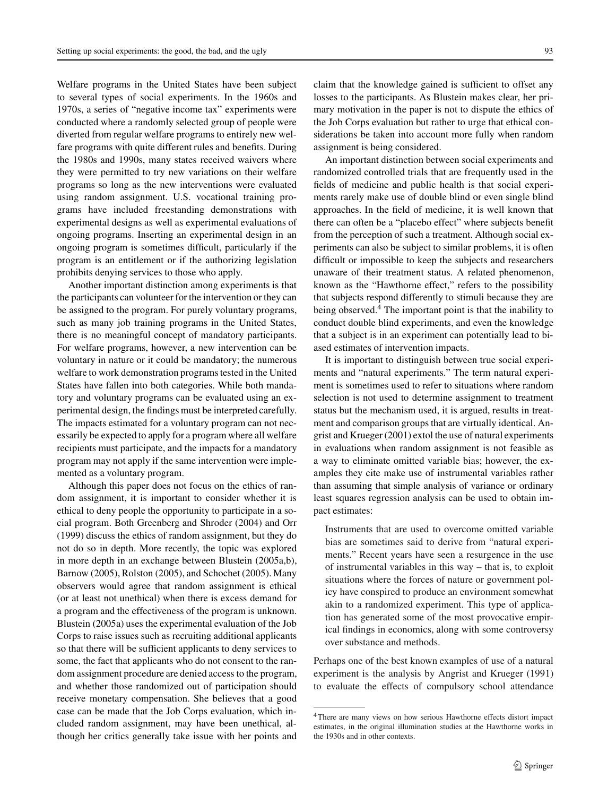Welfare programs in the United States have been subject to several types of social experiments. In the 1960s and 1970s, a series of "negative income tax" experiments were conducted where a randomly selected group of people were diverted from regular welfare programs to entirely new welfare programs with quite different rules and benefits. During the 1980s and 1990s, many states received waivers where they were permitted to try new variations on their welfare programs so long as the new interventions were evaluated using random assignment. U.S. vocational training programs have included freestanding demonstrations with experimental designs as well as experimental evaluations of ongoing programs. Inserting an experimental design in an ongoing program is sometimes difficult, particularly if the program is an entitlement or if the authorizing legislation prohibits denying services to those who apply.

Another important distinction among experiments is that the participants can volunteer for the intervention or they can be assigned to the program. For purely voluntary programs, such as many job training programs in the United States, there is no meaningful concept of mandatory participants. For welfare programs, however, a new intervention can be voluntary in nature or it could be mandatory; the numerous welfare to work demonstration programs tested in the United States have fallen into both categories. While both mandatory and voluntary programs can be evaluated using an experimental design, the findings must be interpreted carefully. The impacts estimated for a voluntary program can not necessarily be expected to apply for a program where all welfare recipients must participate, and the impacts for a mandatory program may not apply if the same intervention were implemented as a voluntary program.

Although this paper does not focus on the ethics of random assignment, it is important to consider whether it is ethical to deny people the opportunity to participate in a social program. Both Greenberg and Shroder (2004) and Orr (1999) discuss the ethics of random assignment, but they do not do so in depth. More recently, the topic was explored in more depth in an exchange between Blustein (2005a,b), Barnow (2005), Rolston (2005), and Schochet (2005). Many observers would agree that random assignment is ethical (or at least not unethical) when there is excess demand for a program and the effectiveness of the program is unknown. Blustein (2005a) uses the experimental evaluation of the Job Corps to raise issues such as recruiting additional applicants so that there will be sufficient applicants to deny services to some, the fact that applicants who do not consent to the random assignment procedure are denied access to the program, and whether those randomized out of participation should receive monetary compensation. She believes that a good case can be made that the Job Corps evaluation, which included random assignment, may have been unethical, although her critics generally take issue with her points and claim that the knowledge gained is sufficient to offset any losses to the participants. As Blustein makes clear, her primary motivation in the paper is not to dispute the ethics of the Job Corps evaluation but rather to urge that ethical considerations be taken into account more fully when random assignment is being considered.

An important distinction between social experiments and randomized controlled trials that are frequently used in the fields of medicine and public health is that social experiments rarely make use of double blind or even single blind approaches. In the field of medicine, it is well known that there can often be a "placebo effect" where subjects benefit from the perception of such a treatment. Although social experiments can also be subject to similar problems, it is often difficult or impossible to keep the subjects and researchers unaware of their treatment status. A related phenomenon, known as the "Hawthorne effect," refers to the possibility that subjects respond differently to stimuli because they are being observed.<sup>4</sup> The important point is that the inability to conduct double blind experiments, and even the knowledge that a subject is in an experiment can potentially lead to biased estimates of intervention impacts.

It is important to distinguish between true social experiments and "natural experiments." The term natural experiment is sometimes used to refer to situations where random selection is not used to determine assignment to treatment status but the mechanism used, it is argued, results in treatment and comparison groups that are virtually identical. Angrist and Krueger (2001) extol the use of natural experiments in evaluations when random assignment is not feasible as a way to eliminate omitted variable bias; however, the examples they cite make use of instrumental variables rather than assuming that simple analysis of variance or ordinary least squares regression analysis can be used to obtain impact estimates:

Instruments that are used to overcome omitted variable bias are sometimes said to derive from "natural experiments." Recent years have seen a resurgence in the use of instrumental variables in this way – that is, to exploit situations where the forces of nature or government policy have conspired to produce an environment somewhat akin to a randomized experiment. This type of application has generated some of the most provocative empirical findings in economics, along with some controversy over substance and methods.

Perhaps one of the best known examples of use of a natural experiment is the analysis by Angrist and Krueger (1991) to evaluate the effects of compulsory school attendance

<sup>4</sup>There are many views on how serious Hawthorne effects distort impact estimates, in the original illumination studies at the Hawthorne works in the 1930s and in other contexts.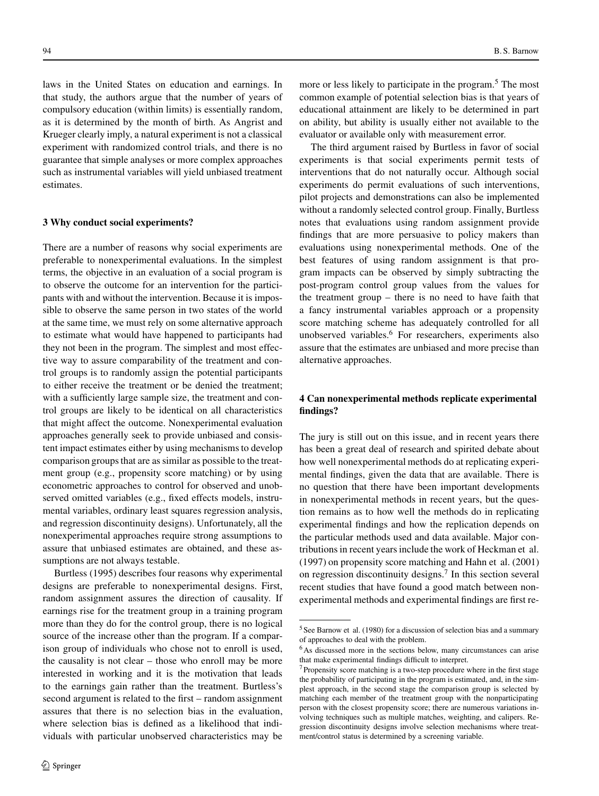laws in the United States on education and earnings. In that study, the authors argue that the number of years of compulsory education (within limits) is essentially random, as it is determined by the month of birth. As Angrist and Krueger clearly imply, a natural experiment is not a classical experiment with randomized control trials, and there is no guarantee that simple analyses or more complex approaches such as instrumental variables will yield unbiased treatment estimates.

## **3 Why conduct social experiments?**

There are a number of reasons why social experiments are preferable to nonexperimental evaluations. In the simplest terms, the objective in an evaluation of a social program is to observe the outcome for an intervention for the participants with and without the intervention. Because it is impossible to observe the same person in two states of the world at the same time, we must rely on some alternative approach to estimate what would have happened to participants had they not been in the program. The simplest and most effective way to assure comparability of the treatment and control groups is to randomly assign the potential participants to either receive the treatment or be denied the treatment; with a sufficiently large sample size, the treatment and control groups are likely to be identical on all characteristics that might affect the outcome. Nonexperimental evaluation approaches generally seek to provide unbiased and consistent impact estimates either by using mechanisms to develop comparison groups that are as similar as possible to the treatment group (e.g., propensity score matching) or by using econometric approaches to control for observed and unobserved omitted variables (e.g., fixed effects models, instrumental variables, ordinary least squares regression analysis, and regression discontinuity designs). Unfortunately, all the nonexperimental approaches require strong assumptions to assure that unbiased estimates are obtained, and these assumptions are not always testable.

Burtless (1995) describes four reasons why experimental designs are preferable to nonexperimental designs. First, random assignment assures the direction of causality. If earnings rise for the treatment group in a training program more than they do for the control group, there is no logical source of the increase other than the program. If a comparison group of individuals who chose not to enroll is used, the causality is not clear – those who enroll may be more interested in working and it is the motivation that leads to the earnings gain rather than the treatment. Burtless's second argument is related to the first – random assignment assures that there is no selection bias in the evaluation, where selection bias is defined as a likelihood that individuals with particular unobserved characteristics may be more or less likely to participate in the program.<sup>5</sup> The most common example of potential selection bias is that years of educational attainment are likely to be determined in part on ability, but ability is usually either not available to the evaluator or available only with measurement error.

The third argument raised by Burtless in favor of social experiments is that social experiments permit tests of interventions that do not naturally occur. Although social experiments do permit evaluations of such interventions, pilot projects and demonstrations can also be implemented without a randomly selected control group. Finally, Burtless notes that evaluations using random assignment provide findings that are more persuasive to policy makers than evaluations using nonexperimental methods. One of the best features of using random assignment is that program impacts can be observed by simply subtracting the post-program control group values from the values for the treatment group – there is no need to have faith that a fancy instrumental variables approach or a propensity score matching scheme has adequately controlled for all unobserved variables.<sup>6</sup> For researchers, experiments also assure that the estimates are unbiased and more precise than alternative approaches.

# **4 Can nonexperimental methods replicate experimental findings?**

The jury is still out on this issue, and in recent years there has been a great deal of research and spirited debate about how well nonexperimental methods do at replicating experimental findings, given the data that are available. There is no question that there have been important developments in nonexperimental methods in recent years, but the question remains as to how well the methods do in replicating experimental findings and how the replication depends on the particular methods used and data available. Major contributions in recent years include the work of Heckman et al. (1997) on propensity score matching and Hahn et al. (2001) on regression discontinuity designs.<sup>7</sup> In this section several recent studies that have found a good match between nonexperimental methods and experimental findings are first re-

 $5$ See Barnow et al. (1980) for a discussion of selection bias and a summary of approaches to deal with the problem.

<sup>&</sup>lt;sup>6</sup>As discussed more in the sections below, many circumstances can arise that make experimental findings difficult to interpret.

 $7$ Propensity score matching is a two-step procedure where in the first stage the probability of participating in the program is estimated, and, in the simplest approach, in the second stage the comparison group is selected by matching each member of the treatment group with the nonparticipating person with the closest propensity score; there are numerous variations involving techniques such as multiple matches, weighting, and calipers. Regression discontinuity designs involve selection mechanisms where treatment/control status is determined by a screening variable.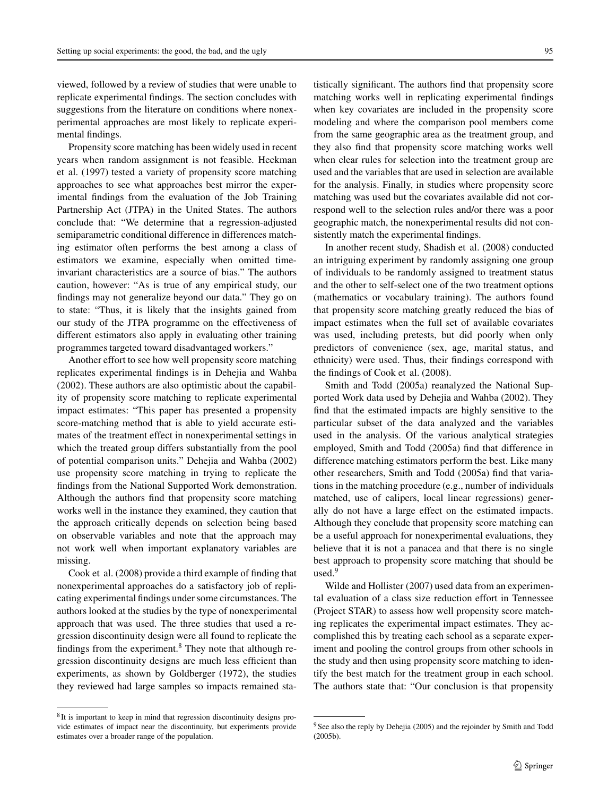viewed, followed by a review of studies that were unable to replicate experimental findings. The section concludes with suggestions from the literature on conditions where nonexperimental approaches are most likely to replicate experimental findings.

Propensity score matching has been widely used in recent years when random assignment is not feasible. Heckman et al. (1997) tested a variety of propensity score matching approaches to see what approaches best mirror the experimental findings from the evaluation of the Job Training Partnership Act (JTPA) in the United States. The authors conclude that: "We determine that a regression-adjusted semiparametric conditional difference in differences matching estimator often performs the best among a class of estimators we examine, especially when omitted timeinvariant characteristics are a source of bias." The authors caution, however: "As is true of any empirical study, our findings may not generalize beyond our data." They go on to state: "Thus, it is likely that the insights gained from our study of the JTPA programme on the effectiveness of different estimators also apply in evaluating other training programmes targeted toward disadvantaged workers."

Another effort to see how well propensity score matching replicates experimental findings is in Dehejia and Wahba (2002). These authors are also optimistic about the capability of propensity score matching to replicate experimental impact estimates: "This paper has presented a propensity score-matching method that is able to yield accurate estimates of the treatment effect in nonexperimental settings in which the treated group differs substantially from the pool of potential comparison units." Dehejia and Wahba (2002) use propensity score matching in trying to replicate the findings from the National Supported Work demonstration. Although the authors find that propensity score matching works well in the instance they examined, they caution that the approach critically depends on selection being based on observable variables and note that the approach may not work well when important explanatory variables are missing.

Cook et al. (2008) provide a third example of finding that nonexperimental approaches do a satisfactory job of replicating experimental findings under some circumstances. The authors looked at the studies by the type of nonexperimental approach that was used. The three studies that used a regression discontinuity design were all found to replicate the findings from the experiment. $8$  They note that although regression discontinuity designs are much less efficient than experiments, as shown by Goldberger (1972), the studies they reviewed had large samples so impacts remained statistically significant. The authors find that propensity score matching works well in replicating experimental findings when key covariates are included in the propensity score modeling and where the comparison pool members come from the same geographic area as the treatment group, and they also find that propensity score matching works well when clear rules for selection into the treatment group are used and the variables that are used in selection are available for the analysis. Finally, in studies where propensity score matching was used but the covariates available did not correspond well to the selection rules and/or there was a poor geographic match, the nonexperimental results did not consistently match the experimental findings.

In another recent study, Shadish et al. (2008) conducted an intriguing experiment by randomly assigning one group of individuals to be randomly assigned to treatment status and the other to self-select one of the two treatment options (mathematics or vocabulary training). The authors found that propensity score matching greatly reduced the bias of impact estimates when the full set of available covariates was used, including pretests, but did poorly when only predictors of convenience (sex, age, marital status, and ethnicity) were used. Thus, their findings correspond with the findings of Cook et al. (2008).

Smith and Todd (2005a) reanalyzed the National Supported Work data used by Dehejia and Wahba (2002). They find that the estimated impacts are highly sensitive to the particular subset of the data analyzed and the variables used in the analysis. Of the various analytical strategies employed, Smith and Todd (2005a) find that difference in difference matching estimators perform the best. Like many other researchers, Smith and Todd (2005a) find that variations in the matching procedure (e.g., number of individuals matched, use of calipers, local linear regressions) generally do not have a large effect on the estimated impacts. Although they conclude that propensity score matching can be a useful approach for nonexperimental evaluations, they believe that it is not a panacea and that there is no single best approach to propensity score matching that should be used.<sup>9</sup>

Wilde and Hollister (2007) used data from an experimental evaluation of a class size reduction effort in Tennessee (Project STAR) to assess how well propensity score matching replicates the experimental impact estimates. They accomplished this by treating each school as a separate experiment and pooling the control groups from other schools in the study and then using propensity score matching to identify the best match for the treatment group in each school. The authors state that: "Our conclusion is that propensity

<sup>&</sup>lt;sup>8</sup>It is important to keep in mind that regression discontinuity designs provide estimates of impact near the discontinuity, but experiments provide estimates over a broader range of the population.

<sup>&</sup>lt;sup>9</sup> See also the reply by Dehejia (2005) and the rejoinder by Smith and Todd (2005b).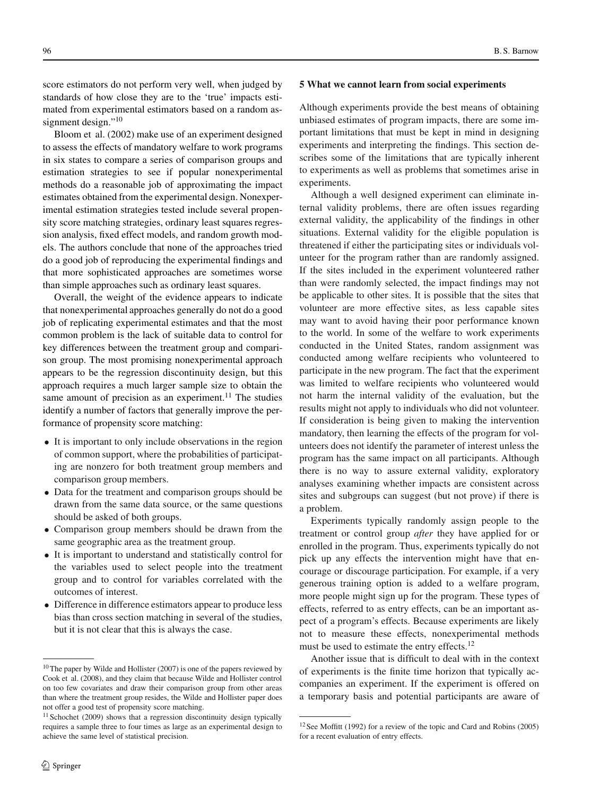score estimators do not perform very well, when judged by standards of how close they are to the 'true' impacts estimated from experimental estimators based on a random assignment design."<sup>10</sup>

Bloom et al. (2002) make use of an experiment designed to assess the effects of mandatory welfare to work programs in six states to compare a series of comparison groups and estimation strategies to see if popular nonexperimental methods do a reasonable job of approximating the impact estimates obtained from the experimental design. Nonexperimental estimation strategies tested include several propensity score matching strategies, ordinary least squares regression analysis, fixed effect models, and random growth models. The authors conclude that none of the approaches tried do a good job of reproducing the experimental findings and that more sophisticated approaches are sometimes worse than simple approaches such as ordinary least squares.

Overall, the weight of the evidence appears to indicate that nonexperimental approaches generally do not do a good job of replicating experimental estimates and that the most common problem is the lack of suitable data to control for key differences between the treatment group and comparison group. The most promising nonexperimental approach appears to be the regression discontinuity design, but this approach requires a much larger sample size to obtain the same amount of precision as an experiment.<sup>11</sup> The studies identify a number of factors that generally improve the performance of propensity score matching:

- It is important to only include observations in the region of common support, where the probabilities of participating are nonzero for both treatment group members and comparison group members.
- Data for the treatment and comparison groups should be drawn from the same data source, or the same questions should be asked of both groups.
- Comparison group members should be drawn from the same geographic area as the treatment group.
- It is important to understand and statistically control for the variables used to select people into the treatment group and to control for variables correlated with the outcomes of interest.
- Difference in difference estimators appear to produce less bias than cross section matching in several of the studies, but it is not clear that this is always the case.

#### **5 What we cannot learn from social experiments**

Although experiments provide the best means of obtaining unbiased estimates of program impacts, there are some important limitations that must be kept in mind in designing experiments and interpreting the findings. This section describes some of the limitations that are typically inherent to experiments as well as problems that sometimes arise in experiments.

Although a well designed experiment can eliminate internal validity problems, there are often issues regarding external validity, the applicability of the findings in other situations. External validity for the eligible population is threatened if either the participating sites or individuals volunteer for the program rather than are randomly assigned. If the sites included in the experiment volunteered rather than were randomly selected, the impact findings may not be applicable to other sites. It is possible that the sites that volunteer are more effective sites, as less capable sites may want to avoid having their poor performance known to the world. In some of the welfare to work experiments conducted in the United States, random assignment was conducted among welfare recipients who volunteered to participate in the new program. The fact that the experiment was limited to welfare recipients who volunteered would not harm the internal validity of the evaluation, but the results might not apply to individuals who did not volunteer. If consideration is being given to making the intervention mandatory, then learning the effects of the program for volunteers does not identify the parameter of interest unless the program has the same impact on all participants. Although there is no way to assure external validity, exploratory analyses examining whether impacts are consistent across sites and subgroups can suggest (but not prove) if there is a problem.

Experiments typically randomly assign people to the treatment or control group *after* they have applied for or enrolled in the program. Thus, experiments typically do not pick up any effects the intervention might have that encourage or discourage participation. For example, if a very generous training option is added to a welfare program, more people might sign up for the program. These types of effects, referred to as entry effects, can be an important aspect of a program's effects. Because experiments are likely not to measure these effects, nonexperimental methods must be used to estimate the entry effects.<sup>12</sup>

Another issue that is difficult to deal with in the context of experiments is the finite time horizon that typically accompanies an experiment. If the experiment is offered on a temporary basis and potential participants are aware of

 $10$ The paper by Wilde and Hollister (2007) is one of the papers reviewed by Cook et al. (2008), and they claim that because Wilde and Hollister control on too few covariates and draw their comparison group from other areas than where the treatment group resides, the Wilde and Hollister paper does not offer a good test of propensity score matching.

 $11$  Schochet (2009) shows that a regression discontinuity design typically requires a sample three to four times as large as an experimental design to achieve the same level of statistical precision.

<sup>&</sup>lt;sup>12</sup> See Moffitt (1992) for a review of the topic and Card and Robins (2005) for a recent evaluation of entry effects.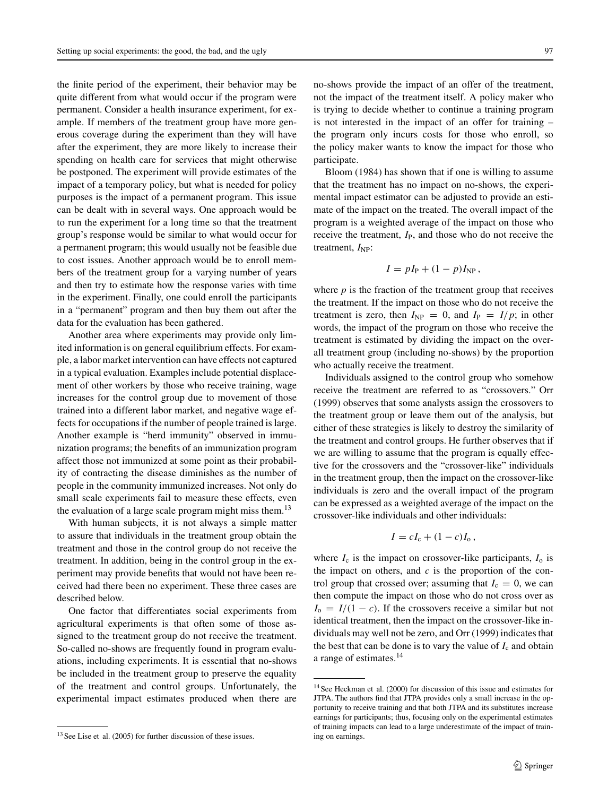the finite period of the experiment, their behavior may be quite different from what would occur if the program were permanent. Consider a health insurance experiment, for example. If members of the treatment group have more generous coverage during the experiment than they will have after the experiment, they are more likely to increase their spending on health care for services that might otherwise be postponed. The experiment will provide estimates of the impact of a temporary policy, but what is needed for policy purposes is the impact of a permanent program. This issue can be dealt with in several ways. One approach would be to run the experiment for a long time so that the treatment group's response would be similar to what would occur for a permanent program; this would usually not be feasible due to cost issues. Another approach would be to enroll members of the treatment group for a varying number of years and then try to estimate how the response varies with time in the experiment. Finally, one could enroll the participants in a "permanent" program and then buy them out after the data for the evaluation has been gathered.

Another area where experiments may provide only limited information is on general equilibrium effects. For example, a labor market intervention can have effects not captured in a typical evaluation. Examples include potential displacement of other workers by those who receive training, wage increases for the control group due to movement of those trained into a different labor market, and negative wage effects for occupations if the number of people trained is large. Another example is "herd immunity" observed in immunization programs; the benefits of an immunization program affect those not immunized at some point as their probability of contracting the disease diminishes as the number of people in the community immunized increases. Not only do small scale experiments fail to measure these effects, even the evaluation of a large scale program might miss them.<sup>13</sup>

With human subjects, it is not always a simple matter to assure that individuals in the treatment group obtain the treatment and those in the control group do not receive the treatment. In addition, being in the control group in the experiment may provide benefits that would not have been received had there been no experiment. These three cases are described below.

One factor that differentiates social experiments from agricultural experiments is that often some of those assigned to the treatment group do not receive the treatment. So-called no-shows are frequently found in program evaluations, including experiments. It is essential that no-shows be included in the treatment group to preserve the equality of the treatment and control groups. Unfortunately, the experimental impact estimates produced when there are

no-shows provide the impact of an offer of the treatment, not the impact of the treatment itself. A policy maker who is trying to decide whether to continue a training program is not interested in the impact of an offer for training – the program only incurs costs for those who enroll, so the policy maker wants to know the impact for those who participate.

Bloom (1984) has shown that if one is willing to assume that the treatment has no impact on no-shows, the experimental impact estimator can be adjusted to provide an estimate of the impact on the treated. The overall impact of the program is a weighted average of the impact on those who receive the treatment, *I*P, and those who do not receive the treatment,  $I_{NP}$ :

$$
I = pI_{\rm P} + (1 - p)I_{\rm NP},
$$

where  $p$  is the fraction of the treatment group that receives the treatment. If the impact on those who do not receive the treatment is zero, then  $I_{NP} = 0$ , and  $I_P = I/p$ ; in other words, the impact of the program on those who receive the treatment is estimated by dividing the impact on the overall treatment group (including no-shows) by the proportion who actually receive the treatment.

Individuals assigned to the control group who somehow receive the treatment are referred to as "crossovers." Orr (1999) observes that some analysts assign the crossovers to the treatment group or leave them out of the analysis, but either of these strategies is likely to destroy the similarity of the treatment and control groups. He further observes that if we are willing to assume that the program is equally effective for the crossovers and the "crossover-like" individuals in the treatment group, then the impact on the crossover-like individuals is zero and the overall impact of the program can be expressed as a weighted average of the impact on the crossover-like individuals and other individuals:

$$
I = cI_{\rm c} + (1 - c)I_{\rm o}\,,
$$

where  $I_c$  is the impact on crossover-like participants,  $I_0$  is the impact on others, and  $c$  is the proportion of the control group that crossed over; assuming that  $I_c = 0$ , we can then compute the impact on those who do not cross over as  $I_0 = I/(1 - c)$ . If the crossovers receive a similar but not identical treatment, then the impact on the crossover-like individuals may well not be zero, and Orr (1999) indicates that the best that can be done is to vary the value of  $I_c$  and obtain a range of estimates.<sup>14</sup>

<sup>&</sup>lt;sup>13</sup> See Lise et al. (2005) for further discussion of these issues.

<sup>&</sup>lt;sup>14</sup> See Heckman et al. (2000) for discussion of this issue and estimates for JTPA. The authors find that JTPA provides only a small increase in the opportunity to receive training and that both JTPA and its substitutes increase earnings for participants; thus, focusing only on the experimental estimates of training impacts can lead to a large underestimate of the impact of training on earnings.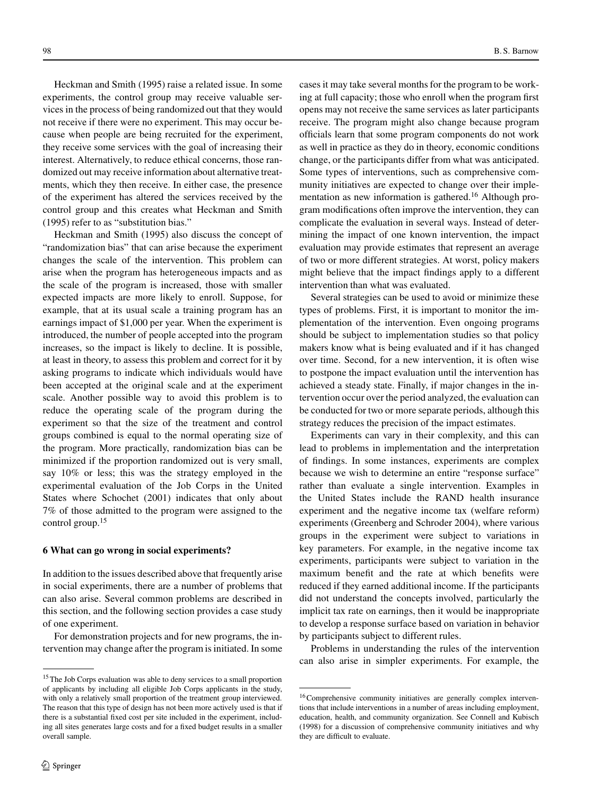Heckman and Smith (1995) raise a related issue. In some experiments, the control group may receive valuable services in the process of being randomized out that they would not receive if there were no experiment. This may occur because when people are being recruited for the experiment, they receive some services with the goal of increasing their interest. Alternatively, to reduce ethical concerns, those randomized out may receive information about alternative treatments, which they then receive. In either case, the presence

of the experiment has altered the services received by the control group and this creates what Heckman and Smith (1995) refer to as "substitution bias."

Heckman and Smith (1995) also discuss the concept of "randomization bias" that can arise because the experiment changes the scale of the intervention. This problem can arise when the program has heterogeneous impacts and as the scale of the program is increased, those with smaller expected impacts are more likely to enroll. Suppose, for example, that at its usual scale a training program has an earnings impact of \$1,000 per year. When the experiment is introduced, the number of people accepted into the program increases, so the impact is likely to decline. It is possible, at least in theory, to assess this problem and correct for it by asking programs to indicate which individuals would have been accepted at the original scale and at the experiment scale. Another possible way to avoid this problem is to reduce the operating scale of the program during the experiment so that the size of the treatment and control groups combined is equal to the normal operating size of the program. More practically, randomization bias can be minimized if the proportion randomized out is very small, say 10% or less; this was the strategy employed in the experimental evaluation of the Job Corps in the United States where Schochet (2001) indicates that only about 7% of those admitted to the program were assigned to the control group.<sup>15</sup>

#### **6 What can go wrong in social experiments?**

In addition to the issues described above that frequently arise in social experiments, there are a number of problems that can also arise. Several common problems are described in this section, and the following section provides a case study of one experiment.

For demonstration projects and for new programs, the intervention may change after the program is initiated. In some cases it may take several months for the program to be working at full capacity; those who enroll when the program first opens may not receive the same services as later participants receive. The program might also change because program officials learn that some program components do not work as well in practice as they do in theory, economic conditions change, or the participants differ from what was anticipated. Some types of interventions, such as comprehensive community initiatives are expected to change over their implementation as new information is gathered.<sup>16</sup> Although program modifications often improve the intervention, they can complicate the evaluation in several ways. Instead of determining the impact of one known intervention, the impact evaluation may provide estimates that represent an average of two or more different strategies. At worst, policy makers might believe that the impact findings apply to a different intervention than what was evaluated.

Several strategies can be used to avoid or minimize these types of problems. First, it is important to monitor the implementation of the intervention. Even ongoing programs should be subject to implementation studies so that policy makers know what is being evaluated and if it has changed over time. Second, for a new intervention, it is often wise to postpone the impact evaluation until the intervention has achieved a steady state. Finally, if major changes in the intervention occur over the period analyzed, the evaluation can be conducted for two or more separate periods, although this strategy reduces the precision of the impact estimates.

Experiments can vary in their complexity, and this can lead to problems in implementation and the interpretation of findings. In some instances, experiments are complex because we wish to determine an entire "response surface" rather than evaluate a single intervention. Examples in the United States include the RAND health insurance experiment and the negative income tax (welfare reform) experiments (Greenberg and Schroder 2004), where various groups in the experiment were subject to variations in key parameters. For example, in the negative income tax experiments, participants were subject to variation in the maximum benefit and the rate at which benefits were reduced if they earned additional income. If the participants did not understand the concepts involved, particularly the implicit tax rate on earnings, then it would be inappropriate to develop a response surface based on variation in behavior by participants subject to different rules.

Problems in understanding the rules of the intervention can also arise in simpler experiments. For example, the

<sup>&</sup>lt;sup>15</sup>The Job Corps evaluation was able to deny services to a small proportion of applicants by including all eligible Job Corps applicants in the study, with only a relatively small proportion of the treatment group interviewed. The reason that this type of design has not been more actively used is that if there is a substantial fixed cost per site included in the experiment, including all sites generates large costs and for a fixed budget results in a smaller overall sample.

<sup>16</sup>Comprehensive community initiatives are generally complex interventions that include interventions in a number of areas including employment, education, health, and community organization. See Connell and Kubisch (1998) for a discussion of comprehensive community initiatives and why they are difficult to evaluate.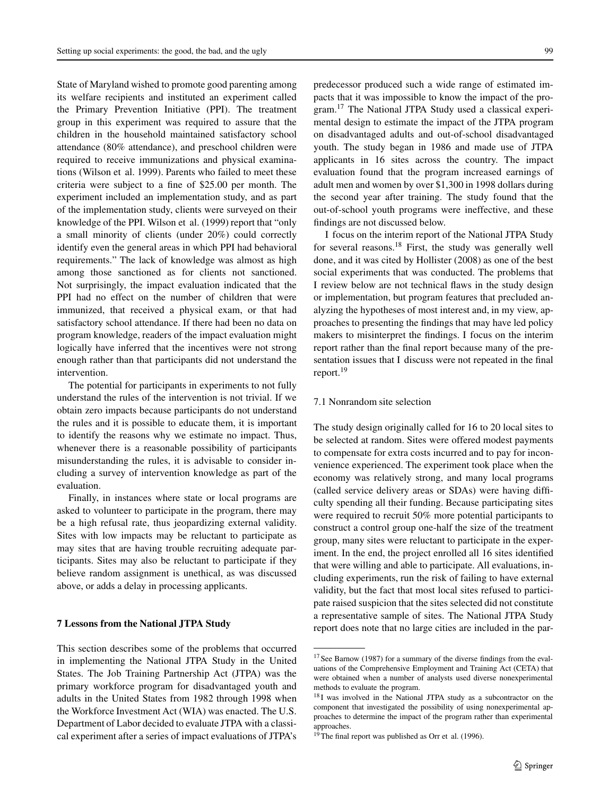State of Maryland wished to promote good parenting among its welfare recipients and instituted an experiment called the Primary Prevention Initiative (PPI). The treatment group in this experiment was required to assure that the children in the household maintained satisfactory school attendance (80% attendance), and preschool children were required to receive immunizations and physical examinations (Wilson et al. 1999). Parents who failed to meet these criteria were subject to a fine of \$25.00 per month. The experiment included an implementation study, and as part of the implementation study, clients were surveyed on their knowledge of the PPI. Wilson et al. (1999) report that "only a small minority of clients (under 20%) could correctly identify even the general areas in which PPI had behavioral requirements." The lack of knowledge was almost as high among those sanctioned as for clients not sanctioned. Not surprisingly, the impact evaluation indicated that the PPI had no effect on the number of children that were immunized, that received a physical exam, or that had satisfactory school attendance. If there had been no data on program knowledge, readers of the impact evaluation might logically have inferred that the incentives were not strong enough rather than that participants did not understand the intervention.

The potential for participants in experiments to not fully understand the rules of the intervention is not trivial. If we obtain zero impacts because participants do not understand the rules and it is possible to educate them, it is important to identify the reasons why we estimate no impact. Thus, whenever there is a reasonable possibility of participants misunderstanding the rules, it is advisable to consider including a survey of intervention knowledge as part of the evaluation.

Finally, in instances where state or local programs are asked to volunteer to participate in the program, there may be a high refusal rate, thus jeopardizing external validity. Sites with low impacts may be reluctant to participate as may sites that are having trouble recruiting adequate participants. Sites may also be reluctant to participate if they believe random assignment is unethical, as was discussed above, or adds a delay in processing applicants.

#### **7 Lessons from the National JTPA Study**

This section describes some of the problems that occurred in implementing the National JTPA Study in the United States. The Job Training Partnership Act (JTPA) was the primary workforce program for disadvantaged youth and adults in the United States from 1982 through 1998 when the Workforce Investment Act (WIA) was enacted. The U.S. Department of Labor decided to evaluate JTPA with a classical experiment after a series of impact evaluations of JTPA's

predecessor produced such a wide range of estimated impacts that it was impossible to know the impact of the program.<sup>17</sup> The National JTPA Study used a classical experimental design to estimate the impact of the JTPA program on disadvantaged adults and out-of-school disadvantaged youth. The study began in 1986 and made use of JTPA applicants in 16 sites across the country. The impact evaluation found that the program increased earnings of adult men and women by over \$1,300 in 1998 dollars during the second year after training. The study found that the out-of-school youth programs were ineffective, and these findings are not discussed below.

I focus on the interim report of the National JTPA Study for several reasons.<sup>18</sup> First, the study was generally well done, and it was cited by Hollister (2008) as one of the best social experiments that was conducted. The problems that I review below are not technical flaws in the study design or implementation, but program features that precluded analyzing the hypotheses of most interest and, in my view, approaches to presenting the findings that may have led policy makers to misinterpret the findings. I focus on the interim report rather than the final report because many of the presentation issues that I discuss were not repeated in the final report.<sup>19</sup>

#### 7.1 Nonrandom site selection

The study design originally called for 16 to 20 local sites to be selected at random. Sites were offered modest payments to compensate for extra costs incurred and to pay for inconvenience experienced. The experiment took place when the economy was relatively strong, and many local programs (called service delivery areas or SDAs) were having difficulty spending all their funding. Because participating sites were required to recruit 50% more potential participants to construct a control group one-half the size of the treatment group, many sites were reluctant to participate in the experiment. In the end, the project enrolled all 16 sites identified that were willing and able to participate. All evaluations, including experiments, run the risk of failing to have external validity, but the fact that most local sites refused to participate raised suspicion that the sites selected did not constitute a representative sample of sites. The National JTPA Study report does note that no large cities are included in the par-

 $17$  See Barnow (1987) for a summary of the diverse findings from the evaluations of the Comprehensive Employment and Training Act (CETA) that were obtained when a number of analysts used diverse nonexperimental methods to evaluate the program.

<sup>&</sup>lt;sup>18</sup> I was involved in the National JTPA study as a subcontractor on the component that investigated the possibility of using nonexperimental approaches to determine the impact of the program rather than experimental approaches.

<sup>&</sup>lt;sup>19</sup>The final report was published as Orr et al. (1996).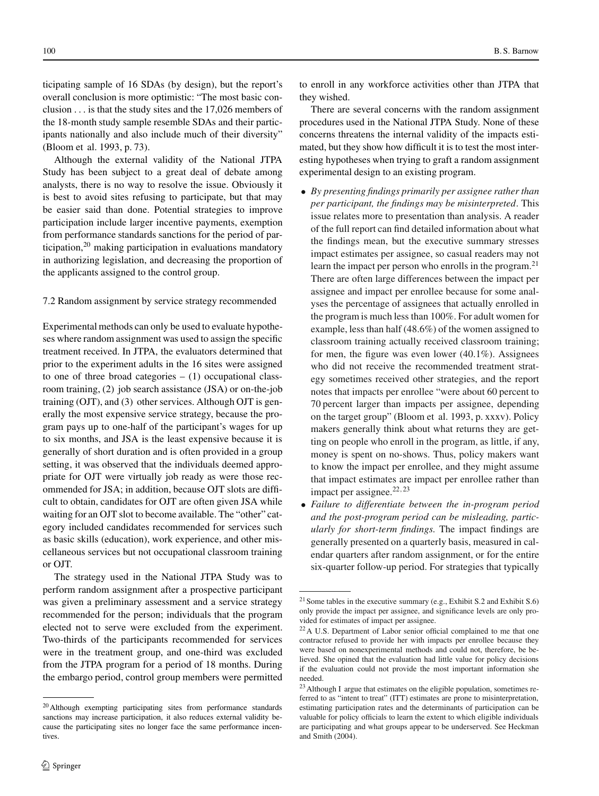ticipating sample of 16 SDAs (by design), but the report's overall conclusion is more optimistic: "The most basic conclusion *...* is that the study sites and the 17,026 members of the 18-month study sample resemble SDAs and their participants nationally and also include much of their diversity" (Bloom et al. 1993, p. 73).

Although the external validity of the National JTPA Study has been subject to a great deal of debate among analysts, there is no way to resolve the issue. Obviously it is best to avoid sites refusing to participate, but that may be easier said than done. Potential strategies to improve participation include larger incentive payments, exemption from performance standards sanctions for the period of participation, $2<sup>0</sup>$  making participation in evaluations mandatory in authorizing legislation, and decreasing the proportion of the applicants assigned to the control group.

#### 7.2 Random assignment by service strategy recommended

Experimental methods can only be used to evaluate hypotheses where random assignment was used to assign the specific treatment received. In JTPA, the evaluators determined that prior to the experiment adults in the 16 sites were assigned to one of three broad categories  $- (1)$  occupational classroom training, (2) job search assistance (JSA) or on-the-job training (OJT), and (3) other services. Although OJT is generally the most expensive service strategy, because the program pays up to one-half of the participant's wages for up to six months, and JSA is the least expensive because it is generally of short duration and is often provided in a group setting, it was observed that the individuals deemed appropriate for OJT were virtually job ready as were those recommended for JSA; in addition, because OJT slots are difficult to obtain, candidates for OJT are often given JSA while waiting for an OJT slot to become available. The "other" category included candidates recommended for services such as basic skills (education), work experience, and other miscellaneous services but not occupational classroom training or OJT.

The strategy used in the National JTPA Study was to perform random assignment after a prospective participant was given a preliminary assessment and a service strategy recommended for the person; individuals that the program elected not to serve were excluded from the experiment. Two-thirds of the participants recommended for services were in the treatment group, and one-third was excluded from the JTPA program for a period of 18 months. During the embargo period, control group members were permitted to enroll in any workforce activities other than JTPA that they wished.

There are several concerns with the random assignment procedures used in the National JTPA Study. None of these concerns threatens the internal validity of the impacts estimated, but they show how difficult it is to test the most interesting hypotheses when trying to graft a random assignment experimental design to an existing program.

- *By presenting findings primarily per assignee rather than per participant, the findings may be misinterpreted*. This issue relates more to presentation than analysis. A reader of the full report can find detailed information about what the findings mean, but the executive summary stresses impact estimates per assignee, so casual readers may not learn the impact per person who enrolls in the program.<sup>21</sup> There are often large differences between the impact per assignee and impact per enrollee because for some analyses the percentage of assignees that actually enrolled in the program is much less than 100%. For adult women for example, less than half (48.6%) of the women assigned to classroom training actually received classroom training; for men, the figure was even lower (40.1%). Assignees who did not receive the recommended treatment strategy sometimes received other strategies, and the report notes that impacts per enrollee "were about 60 percent to 70 percent larger than impacts per assignee, depending on the target group" (Bloom et al. 1993, p. xxxv). Policy makers generally think about what returns they are getting on people who enroll in the program, as little, if any, money is spent on no-shows. Thus, policy makers want to know the impact per enrollee, and they might assume that impact estimates are impact per enrollee rather than impact per assignee.22*,*<sup>23</sup>
- *Failure to differentiate between the in-program period and the post-program period can be misleading, particularly for short-term findings.* The impact findings are generally presented on a quarterly basis, measured in calendar quarters after random assignment, or for the entire six-quarter follow-up period. For strategies that typically

<sup>20</sup>Although exempting participating sites from performance standards sanctions may increase participation, it also reduces external validity because the participating sites no longer face the same performance incentives.

<sup>&</sup>lt;sup>21</sup> Some tables in the executive summary (e.g., Exhibit S.2 and Exhibit S.6) only provide the impact per assignee, and significance levels are only provided for estimates of impact per assignee.

<sup>22</sup>A U.S. Department of Labor senior official complained to me that one contractor refused to provide her with impacts per enrollee because they were based on nonexperimental methods and could not, therefore, be believed. She opined that the evaluation had little value for policy decisions if the evaluation could not provide the most important information she needed.

 $23$  Although I argue that estimates on the eligible population, sometimes referred to as "intent to treat" (ITT) estimates are prone to misinterpretation, estimating participation rates and the determinants of participation can be valuable for policy officials to learn the extent to which eligible individuals are participating and what groups appear to be underserved. See Heckman and Smith (2004).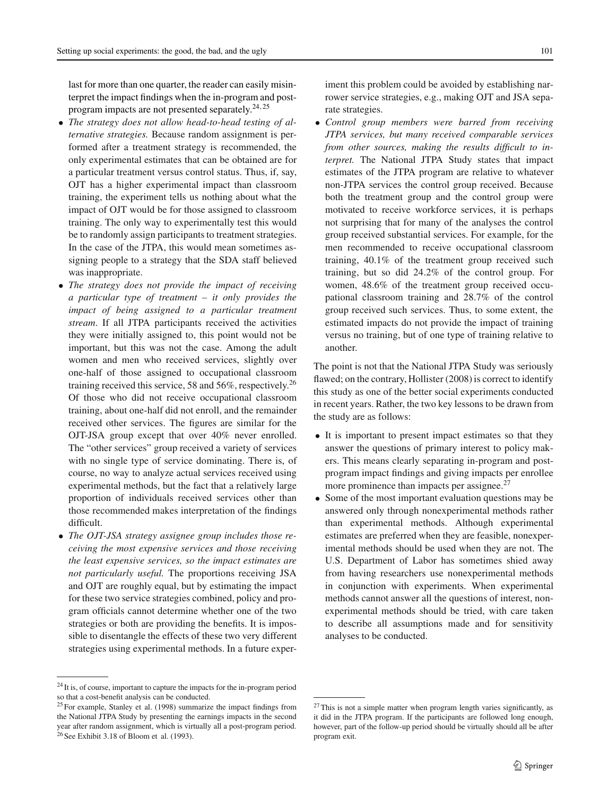last for more than one quarter, the reader can easily misinterpret the impact findings when the in-program and postprogram impacts are not presented separately.24*,*<sup>25</sup>

- *The strategy does not allow head-to-head testing of alternative strategies.* Because random assignment is performed after a treatment strategy is recommended, the only experimental estimates that can be obtained are for a particular treatment versus control status. Thus, if, say, OJT has a higher experimental impact than classroom training, the experiment tells us nothing about what the impact of OJT would be for those assigned to classroom training. The only way to experimentally test this would be to randomly assign participants to treatment strategies. In the case of the JTPA, this would mean sometimes assigning people to a strategy that the SDA staff believed was inappropriate.
- *The strategy does not provide the impact of receiving a particular type of treatment – it only provides the impact of being assigned to a particular treatment stream*. If all JTPA participants received the activities they were initially assigned to, this point would not be important, but this was not the case. Among the adult women and men who received services, slightly over one-half of those assigned to occupational classroom training received this service, 58 and 56%, respectively.<sup>26</sup> Of those who did not receive occupational classroom training, about one-half did not enroll, and the remainder received other services. The figures are similar for the OJT-JSA group except that over 40% never enrolled. The "other services" group received a variety of services with no single type of service dominating. There is, of course, no way to analyze actual services received using experimental methods, but the fact that a relatively large proportion of individuals received services other than those recommended makes interpretation of the findings difficult.
- *The OJT-JSA strategy assignee group includes those receiving the most expensive services and those receiving the least expensive services, so the impact estimates are not particularly useful.* The proportions receiving JSA and OJT are roughly equal, but by estimating the impact for these two service strategies combined, policy and program officials cannot determine whether one of the two strategies or both are providing the benefits. It is impossible to disentangle the effects of these two very different strategies using experimental methods. In a future exper-

<sup>24</sup> It is, of course, important to capture the impacts for the in-program period so that a cost-benefit analysis can be conducted.

iment this problem could be avoided by establishing narrower service strategies, e.g., making OJT and JSA separate strategies.

• *Control group members were barred from receiving JTPA services, but many received comparable services from other sources, making the results difficult to interpret.* The National JTPA Study states that impact estimates of the JTPA program are relative to whatever non-JTPA services the control group received. Because both the treatment group and the control group were motivated to receive workforce services, it is perhaps not surprising that for many of the analyses the control group received substantial services. For example, for the men recommended to receive occupational classroom training, 40.1% of the treatment group received such training, but so did 24.2% of the control group. For women, 48.6% of the treatment group received occupational classroom training and 28.7% of the control group received such services. Thus, to some extent, the estimated impacts do not provide the impact of training versus no training, but of one type of training relative to another.

The point is not that the National JTPA Study was seriously flawed; on the contrary, Hollister (2008) is correct to identify this study as one of the better social experiments conducted in recent years. Rather, the two key lessons to be drawn from the study are as follows:

- It is important to present impact estimates so that they answer the questions of primary interest to policy makers. This means clearly separating in-program and postprogram impact findings and giving impacts per enrollee more prominence than impacts per assignee. $27$
- Some of the most important evaluation questions may be answered only through nonexperimental methods rather than experimental methods. Although experimental estimates are preferred when they are feasible, nonexperimental methods should be used when they are not. The U.S. Department of Labor has sometimes shied away from having researchers use nonexperimental methods in conjunction with experiments. When experimental methods cannot answer all the questions of interest, nonexperimental methods should be tried, with care taken to describe all assumptions made and for sensitivity analyses to be conducted.

<sup>&</sup>lt;sup>25</sup> For example, Stanley et al. (1998) summarize the impact findings from the National JTPA Study by presenting the earnings impacts in the second year after random assignment, which is virtually all a post-program period. 26See Exhibit 3.18 of Bloom et al. (1993).

<sup>&</sup>lt;sup>27</sup>This is not a simple matter when program length varies significantly, as it did in the JTPA program. If the participants are followed long enough, however, part of the follow-up period should be virtually should all be after program exit.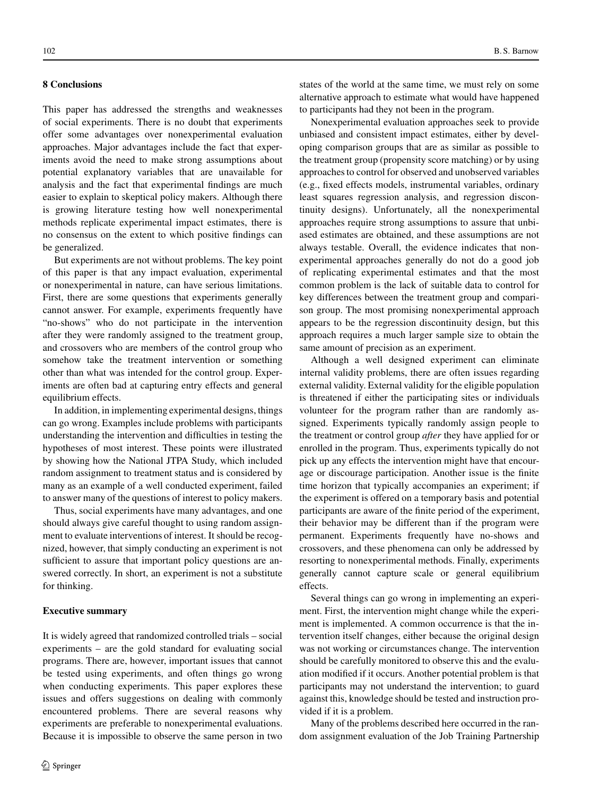### **8 Conclusions**

This paper has addressed the strengths and weaknesses of social experiments. There is no doubt that experiments offer some advantages over nonexperimental evaluation approaches. Major advantages include the fact that experiments avoid the need to make strong assumptions about potential explanatory variables that are unavailable for analysis and the fact that experimental findings are much easier to explain to skeptical policy makers. Although there is growing literature testing how well nonexperimental methods replicate experimental impact estimates, there is no consensus on the extent to which positive findings can be generalized.

But experiments are not without problems. The key point of this paper is that any impact evaluation, experimental or nonexperimental in nature, can have serious limitations. First, there are some questions that experiments generally cannot answer. For example, experiments frequently have "no-shows" who do not participate in the intervention after they were randomly assigned to the treatment group, and crossovers who are members of the control group who somehow take the treatment intervention or something other than what was intended for the control group. Experiments are often bad at capturing entry effects and general equilibrium effects.

In addition, in implementing experimental designs, things can go wrong. Examples include problems with participants understanding the intervention and difficulties in testing the hypotheses of most interest. These points were illustrated by showing how the National JTPA Study, which included random assignment to treatment status and is considered by many as an example of a well conducted experiment, failed to answer many of the questions of interest to policy makers.

Thus, social experiments have many advantages, and one should always give careful thought to using random assignment to evaluate interventions of interest. It should be recognized, however, that simply conducting an experiment is not sufficient to assure that important policy questions are answered correctly. In short, an experiment is not a substitute for thinking.

#### **Executive summary**

It is widely agreed that randomized controlled trials – social experiments – are the gold standard for evaluating social programs. There are, however, important issues that cannot be tested using experiments, and often things go wrong when conducting experiments. This paper explores these issues and offers suggestions on dealing with commonly encountered problems. There are several reasons why experiments are preferable to nonexperimental evaluations. Because it is impossible to observe the same person in two states of the world at the same time, we must rely on some alternative approach to estimate what would have happened to participants had they not been in the program.

Nonexperimental evaluation approaches seek to provide unbiased and consistent impact estimates, either by developing comparison groups that are as similar as possible to the treatment group (propensity score matching) or by using approaches to control for observed and unobserved variables (e.g., fixed effects models, instrumental variables, ordinary least squares regression analysis, and regression discontinuity designs). Unfortunately, all the nonexperimental approaches require strong assumptions to assure that unbiased estimates are obtained, and these assumptions are not always testable. Overall, the evidence indicates that nonexperimental approaches generally do not do a good job of replicating experimental estimates and that the most common problem is the lack of suitable data to control for key differences between the treatment group and comparison group. The most promising nonexperimental approach appears to be the regression discontinuity design, but this approach requires a much larger sample size to obtain the same amount of precision as an experiment.

Although a well designed experiment can eliminate internal validity problems, there are often issues regarding external validity. External validity for the eligible population is threatened if either the participating sites or individuals volunteer for the program rather than are randomly assigned. Experiments typically randomly assign people to the treatment or control group *after* they have applied for or enrolled in the program. Thus, experiments typically do not pick up any effects the intervention might have that encourage or discourage participation. Another issue is the finite time horizon that typically accompanies an experiment; if the experiment is offered on a temporary basis and potential participants are aware of the finite period of the experiment, their behavior may be different than if the program were permanent. Experiments frequently have no-shows and crossovers, and these phenomena can only be addressed by resorting to nonexperimental methods. Finally, experiments generally cannot capture scale or general equilibrium effects.

Several things can go wrong in implementing an experiment. First, the intervention might change while the experiment is implemented. A common occurrence is that the intervention itself changes, either because the original design was not working or circumstances change. The intervention should be carefully monitored to observe this and the evaluation modified if it occurs. Another potential problem is that participants may not understand the intervention; to guard against this, knowledge should be tested and instruction provided if it is a problem.

Many of the problems described here occurred in the random assignment evaluation of the Job Training Partnership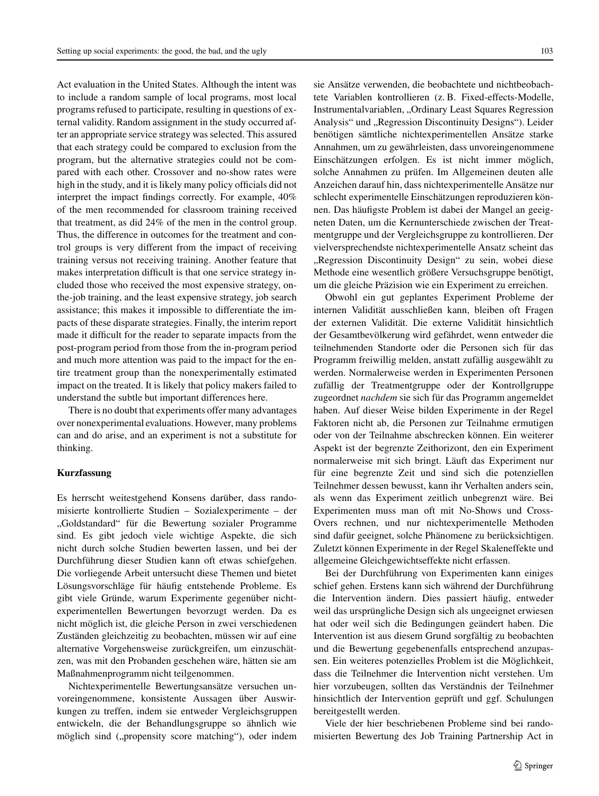Act evaluation in the United States. Although the intent was to include a random sample of local programs, most local programs refused to participate, resulting in questions of external validity. Random assignment in the study occurred after an appropriate service strategy was selected. This assured that each strategy could be compared to exclusion from the program, but the alternative strategies could not be compared with each other. Crossover and no-show rates were high in the study, and it is likely many policy officials did not interpret the impact findings correctly. For example, 40% of the men recommended for classroom training received that treatment, as did 24% of the men in the control group. Thus, the difference in outcomes for the treatment and control groups is very different from the impact of receiving training versus not receiving training. Another feature that makes interpretation difficult is that one service strategy included those who received the most expensive strategy, onthe-job training, and the least expensive strategy, job search assistance; this makes it impossible to differentiate the impacts of these disparate strategies. Finally, the interim report made it difficult for the reader to separate impacts from the post-program period from those from the in-program period and much more attention was paid to the impact for the entire treatment group than the nonexperimentally estimated impact on the treated. It is likely that policy makers failed to understand the subtle but important differences here.

There is no doubt that experiments offer many advantages over nonexperimental evaluations. However, many problems can and do arise, and an experiment is not a substitute for thinking.

## **Kurzfassung**

Es herrscht weitestgehend Konsens darüber, dass randomisierte kontrollierte Studien – Sozialexperimente – der "Goldstandard" für die Bewertung sozialer Programme sind. Es gibt jedoch viele wichtige Aspekte, die sich nicht durch solche Studien bewerten lassen, und bei der Durchführung dieser Studien kann oft etwas schiefgehen. Die vorliegende Arbeit untersucht diese Themen und bietet Lösungsvorschläge für häufig entstehende Probleme. Es gibt viele Gründe, warum Experimente gegenüber nichtexperimentellen Bewertungen bevorzugt werden. Da es nicht möglich ist, die gleiche Person in zwei verschiedenen Zuständen gleichzeitig zu beobachten, müssen wir auf eine alternative Vorgehensweise zurückgreifen, um einzuschätzen, was mit den Probanden geschehen wäre, hätten sie am Maßnahmenprogramm nicht teilgenommen.

Nichtexperimentelle Bewertungsansätze versuchen unvoreingenommene, konsistente Aussagen über Auswirkungen zu treffen, indem sie entweder Vergleichsgruppen entwickeln, die der Behandlungsgruppe so ähnlich wie möglich sind ("propensity score matching"), oder indem sie Ansätze verwenden, die beobachtete und nichtbeobachtete Variablen kontrollieren (z. B. Fixed-effects-Modelle, Instrumentalvariablen, "Ordinary Least Squares Regression Analysis" und "Regression Discontinuity Designs"). Leider benötigen sämtliche nichtexperimentellen Ansätze starke Annahmen, um zu gewährleisten, dass unvoreingenommene Einschätzungen erfolgen. Es ist nicht immer möglich, solche Annahmen zu prüfen. Im Allgemeinen deuten alle Anzeichen darauf hin, dass nichtexperimentelle Ansätze nur schlecht experimentelle Einschätzungen reproduzieren können. Das häufigste Problem ist dabei der Mangel an geeigneten Daten, um die Kernunterschiede zwischen der Treatmentgruppe und der Vergleichsgruppe zu kontrollieren. Der vielversprechendste nichtexperimentelle Ansatz scheint das "Regression Discontinuity Design" zu sein, wobei diese Methode eine wesentlich größere Versuchsgruppe benötigt, um die gleiche Präzision wie ein Experiment zu erreichen.

Obwohl ein gut geplantes Experiment Probleme der internen Validität ausschließen kann, bleiben oft Fragen der externen Validität. Die externe Validität hinsichtlich der Gesamtbevölkerung wird gefährdet, wenn entweder die teilnehmenden Standorte oder die Personen sich für das Programm freiwillig melden, anstatt zufällig ausgewählt zu werden. Normalerweise werden in Experimenten Personen zufällig der Treatmentgruppe oder der Kontrollgruppe zugeordnet *nachdem* sie sich für das Programm angemeldet haben. Auf dieser Weise bilden Experimente in der Regel Faktoren nicht ab, die Personen zur Teilnahme ermutigen oder von der Teilnahme abschrecken können. Ein weiterer Aspekt ist der begrenzte Zeithorizont, den ein Experiment normalerweise mit sich bringt. Läuft das Experiment nur für eine begrenzte Zeit und sind sich die potenziellen Teilnehmer dessen bewusst, kann ihr Verhalten anders sein, als wenn das Experiment zeitlich unbegrenzt wäre. Bei Experimenten muss man oft mit No-Shows und Cross-Overs rechnen, und nur nichtexperimentelle Methoden sind dafür geeignet, solche Phänomene zu berücksichtigen. Zuletzt können Experimente in der Regel Skaleneffekte und allgemeine Gleichgewichtseffekte nicht erfassen.

Bei der Durchführung von Experimenten kann einiges schief gehen. Erstens kann sich während der Durchführung die Intervention ändern. Dies passiert häufig, entweder weil das ursprüngliche Design sich als ungeeignet erwiesen hat oder weil sich die Bedingungen geändert haben. Die Intervention ist aus diesem Grund sorgfältig zu beobachten und die Bewertung gegebenenfalls entsprechend anzupassen. Ein weiteres potenzielles Problem ist die Möglichkeit, dass die Teilnehmer die Intervention nicht verstehen. Um hier vorzubeugen, sollten das Verständnis der Teilnehmer hinsichtlich der Intervention geprüft und ggf. Schulungen bereitgestellt werden.

Viele der hier beschriebenen Probleme sind bei randomisierten Bewertung des Job Training Partnership Act in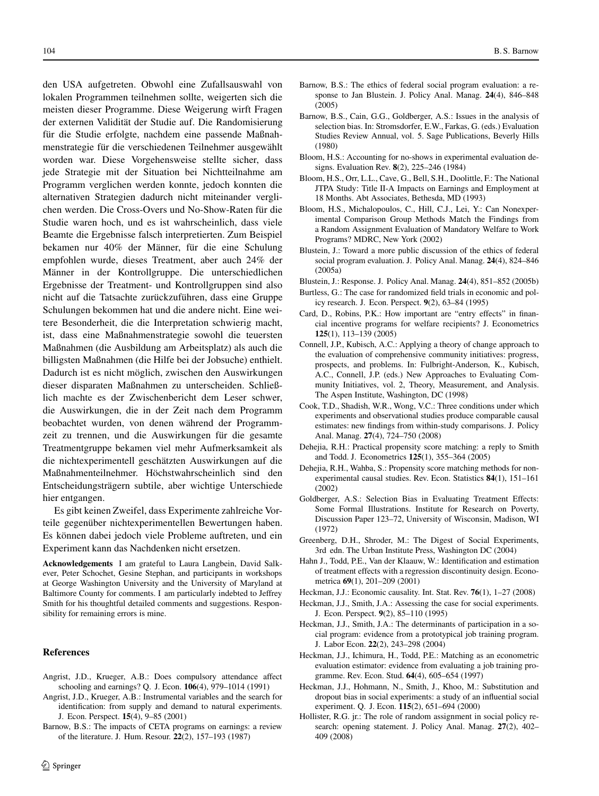den USA aufgetreten. Obwohl eine Zufallsauswahl von lokalen Programmen teilnehmen sollte, weigerten sich die meisten dieser Programme. Diese Weigerung wirft Fragen der externen Validität der Studie auf. Die Randomisierung für die Studie erfolgte, nachdem eine passende Maßnahmenstrategie für die verschiedenen Teilnehmer ausgewählt worden war. Diese Vorgehensweise stellte sicher, dass jede Strategie mit der Situation bei Nichtteilnahme am Programm verglichen werden konnte, jedoch konnten die alternativen Strategien dadurch nicht miteinander verglichen werden. Die Cross-Overs und No-Show-Raten für die Studie waren hoch, und es ist wahrscheinlich, dass viele Beamte die Ergebnisse falsch interpretierten. Zum Beispiel bekamen nur 40% der Männer, für die eine Schulung empfohlen wurde, dieses Treatment, aber auch 24% der Männer in der Kontrollgruppe. Die unterschiedlichen Ergebnisse der Treatment- und Kontrollgruppen sind also nicht auf die Tatsachte zurückzuführen, dass eine Gruppe Schulungen bekommen hat und die andere nicht. Eine weitere Besonderheit, die die Interpretation schwierig macht, ist, dass eine Maßnahmenstrategie sowohl die teuersten Maßnahmen (die Ausbildung am Arbeitsplatz) als auch die billigsten Maßnahmen (die Hilfe bei der Jobsuche) enthielt. Dadurch ist es nicht möglich, zwischen den Auswirkungen dieser disparaten Maßnahmen zu unterscheiden. Schließlich machte es der Zwischenbericht dem Leser schwer, die Auswirkungen, die in der Zeit nach dem Programm beobachtet wurden, von denen während der Programmzeit zu trennen, und die Auswirkungen für die gesamte Treatmentgruppe bekamen viel mehr Aufmerksamkeit als die nichtexperimentell geschätzten Auswirkungen auf die Maßnahmenteilnehmer. Höchstwahrscheinlich sind den Entscheidungsträgern subtile, aber wichtige Unterschiede hier entgangen.

Es gibt keinen Zweifel, dass Experimente zahlreiche Vorteile gegenüber nichtexperimentellen Bewertungen haben. Es können dabei jedoch viele Probleme auftreten, und ein Experiment kann das Nachdenken nicht ersetzen.

**Acknowledgements** I am grateful to Laura Langbein, David Salkever, Peter Schochet, Gesine Stephan, and participants in workshops at George Washington University and the University of Maryland at Baltimore County for comments. I am particularly indebted to Jeffrey Smith for his thoughtful detailed comments and suggestions. Responsibility for remaining errors is mine.

## **References**

- Angrist, J.D., Krueger, A.B.: Does compulsory attendance affect schooling and earnings? Q. J. Econ. **106**(4), 979–1014 (1991)
- Angrist, J.D., Krueger, A.B.: Instrumental variables and the search for identification: from supply and demand to natural experiments. J. Econ. Perspect. **15**(4), 9–85 (2001)
- Barnow, B.S.: The impacts of CETA programs on earnings: a review of the literature. J. Hum. Resour. **22**(2), 157–193 (1987)
- Barnow, B.S.: The ethics of federal social program evaluation: a response to Jan Blustein. J. Policy Anal. Manag. **24**(4), 846–848 (2005)
- Barnow, B.S., Cain, G.G., Goldberger, A.S.: Issues in the analysis of selection bias. In: Stromsdorfer, E.W., Farkas, G. (eds.) Evaluation Studies Review Annual, vol. 5. Sage Publications, Beverly Hills (1980)
- Bloom, H.S.: Accounting for no-shows in experimental evaluation designs. Evaluation Rev. **8**(2), 225–246 (1984)
- Bloom, H.S., Orr, L.L., Cave, G., Bell, S.H., Doolittle, F.: The National JTPA Study: Title II-A Impacts on Earnings and Employment at 18 Months. Abt Associates, Bethesda, MD (1993)
- Bloom, H.S., Michalopoulos, C., Hill, C.J., Lei, Y.: Can Nonexperimental Comparison Group Methods Match the Findings from a Random Assignment Evaluation of Mandatory Welfare to Work Programs? MDRC, New York (2002)
- Blustein, J.: Toward a more public discussion of the ethics of federal social program evaluation. J. Policy Anal. Manag. **24**(4), 824–846 (2005a)
- Blustein, J.: Response. J. Policy Anal. Manag. **24**(4), 851–852 (2005b)
- Burtless, G.: The case for randomized field trials in economic and policy research. J. Econ. Perspect. **9**(2), 63–84 (1995)
- Card, D., Robins, P.K.: How important are "entry effects" in financial incentive programs for welfare recipients? J. Econometrics **125**(1), 113–139 (2005)
- Connell, J.P., Kubisch, A.C.: Applying a theory of change approach to the evaluation of comprehensive community initiatives: progress, prospects, and problems. In: Fulbright-Anderson, K., Kubisch, A.C., Connell, J.P. (eds.) New Approaches to Evaluating Community Initiatives, vol. 2, Theory, Measurement, and Analysis. The Aspen Institute, Washington, DC (1998)
- Cook, T.D., Shadish, W.R., Wong, V.C.: Three conditions under which experiments and observational studies produce comparable causal estimates: new findings from within-study comparisons. J. Policy Anal. Manag. **27**(4), 724–750 (2008)
- Dehejia, R.H.: Practical propensity score matching: a reply to Smith and Todd. J. Econometrics **125**(1), 355–364 (2005)
- Dehejia, R.H., Wahba, S.: Propensity score matching methods for nonexperimental causal studies. Rev. Econ. Statistics **84**(1), 151–161 (2002)
- Goldberger, A.S.: Selection Bias in Evaluating Treatment Effects: Some Formal Illustrations. Institute for Research on Poverty, Discussion Paper 123–72, University of Wisconsin, Madison, WI (1972)
- Greenberg, D.H., Shroder, M.: The Digest of Social Experiments, 3rd edn. The Urban Institute Press, Washington DC (2004)
- Hahn J., Todd, P.E., Van der Klaauw, W.: Identification and estimation of treatment effects with a regression discontinuity design. Econometrica **69**(1), 201–209 (2001)
- Heckman, J.J.: Economic causality. Int. Stat. Rev. **76**(1), 1–27 (2008)
- Heckman, J.J., Smith, J.A.: Assessing the case for social experiments. J. Econ. Perspect. **9**(2), 85–110 (1995)
- Heckman, J.J., Smith, J.A.: The determinants of participation in a social program: evidence from a prototypical job training program. J. Labor Econ. **22**(2), 243–298 (2004)
- Heckman, J.J., Ichimura, H., Todd, P.E.: Matching as an econometric evaluation estimator: evidence from evaluating a job training programme. Rev. Econ. Stud. **64**(4), 605–654 (1997)
- Heckman, J.J., Hohmann, N., Smith, J., Khoo, M.: Substitution and dropout bias in social experiments: a study of an influential social experiment. Q. J. Econ. **115**(2), 651–694 (2000)
- Hollister, R.G. jr.: The role of random assignment in social policy research: opening statement. J. Policy Anal. Manag. **27**(2), 402– 409 (2008)